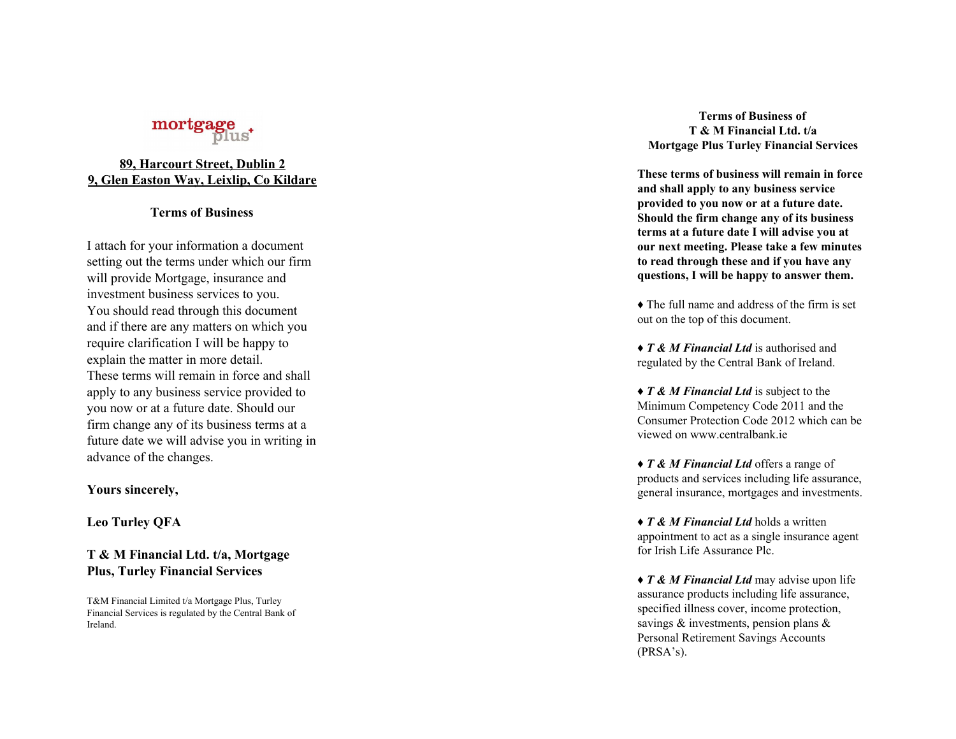## **8 9 , H a r c o u r t S t r e e t , D u b l i n 2** <u>9, Glen Easton Way, Leixlip, Co Kildare</u>

## **Terms of Business**

I attach for your information a document setting out the terms under which our firm will provide Mortgage, insurance and investment business services to you. You should read through this document and if there are any matters on which you require clarification I will be happy to explain the matter in more detail. These terms will remain in force and shall apply to any business service provided to you now or at a future date. Should our firm change any of its business terms at a future date we will advise you in writing in advance of the changes. **Example 11**<br> **Example 11**<br> **Example 11**<br> **Examplement**<br> **Example 11**<br> **Examplement**<br> **Examplement**<br> **Examplement**<br> **Examplement**<br> **Examplement**<br> **Examplement**<br> **Examplement**<br> **Examplement**<br> **Examplement**<br> **Examplement**<br>

### **Yours sincerely,**

**Leo Turley QFA**

## **T & M Financial Ltd. t / a , M o r t g a g e Plus, Turley Financial Services**

T&M Financial Limited t/a Mortgage Plus, Turley Financial Services is regulated by the Central Bank of Irelan

erms of Business of **T** & **M** Financial Ltd. t/a **Mortgage Plus Turley Financial Services** 

These terms of business will remain in force and shall apply to any business service provided to you now or at a future date. Should the firm change any of its business terms at a future date I will advise you at our next meeting. Please take a few minutes to read through these and if you have any questions, I will be happy to answer them.

• The full name and address of the firm is set out on the top of this document.

◆ *T* & *M* Financial Ltd is authorised and regulated by the Central Bank of Ireland.

♦ *T & M Financial Ltd* is subject to the Minimum Competency Code <sup>2011</sup> and th e Consumer Protection Code 2012 which can be viewed on www.centralbank.ie

◆ *T* & *M Financial Ltd* offers a range of products and services including life assurance, general insurance, mortgages and investments.

♦ *T & M Financial Ltd* holds a written appointment to act as a single insurance agent for Irish Life Assurance Plc.

♦ *T & M Financial Ltd* may advise upon life assurance products including life assurance, specified illness cover, income protection, savings & investments, pension plans & Personal Retirement Savings Accounts (PRSA's).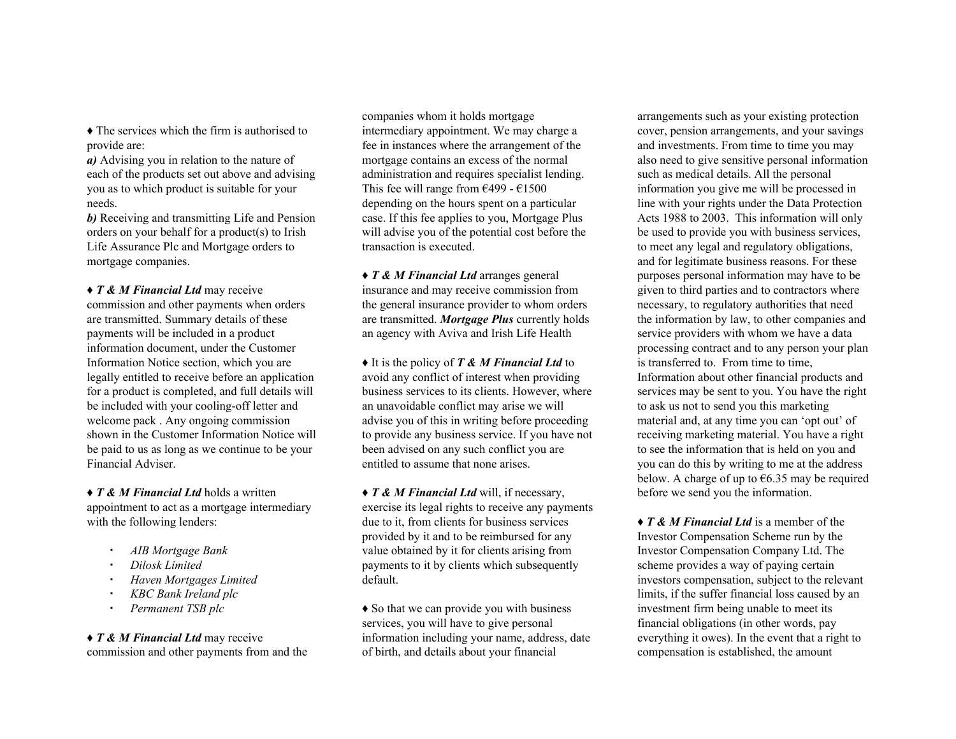♦ The services which the firm is authorised to provide are:

*a)* Advising you in relation to the nature of each of the products set out above and advising you as to which product is suitable for your needs.

*b)* Receiving and transmitting Life and Pension orders on your behalf for a product(s) to Irish Life Assurance Plc and Mortgage orders to mortgage companies.

♦ *T & M Financial Ltd* may receive commission and other payments when orders are transmitted. Summary details of these payments will be included in a product information document, under the Customer Information Notice section, which you are legally entitled to receive before an application for a product is completed, and full details will be included with your cooling-off letter and welcome pack . Any ongoing commission shown in the Customer Information Notice will be paid to us as long as we continue to be your Financial Adviser.

♦ *T & M Financial Ltd* holds a written appointment to act as a mortgage intermediary with the following lenders:

- *AIB Mortgage Bank*
- *Dilosk Limited*
- *Haven Mortgages Limited*
- *KBC Bank Ireland plc*
- *Permanent TSB plc*

# ♦ *T & M Financial Ltd* may receive

commission and other payments from and the

companies whom it holds mortgage intermediary appointment. We may charge a fee in instances where the arrangement of the mortgage contains an excess of the normal administration and requires specialist lending. This fee will range from  $\epsilon$ 499 -  $\epsilon$ 1500 depending on the hours spent on a particular case. If this fee applies to you, Mortgage Plus will advise you of the potential cost before the transaction is executed.

♦ *T & M Financial Ltd* arranges general insurance and may receive commission from the general insurance provider to whom orders are transmitted. *Mortgage Plus* currently holds an agency with Aviva and Irish Life Health

♦ It is the policy of *T & M Financial Ltd* to avoid any conflict of interest when providing business services to its clients. However, where an unavoidable conflict may arise we will advise you of this in writing before proceeding to provide any business service. If you have not been advised on any such conflict you are entitled to assume that none arises.

♦ *T & M Financial Ltd* will, if necessary, exercise its legal rights to receive any payments due to it, from clients for business services provided by it and to be reimbursed for any value obtained by it for clients arising from payments to it by clients which subsequently default.

♦ So that we can provide you with business services, you will have to give personal information including your name, address, date of birth, and details about your financial

arrangements such as your existing protection cover, pension arrangements, and your savings and investments. From time to time you may also need to give sensitive personal information such as medical details. All the personal information you give me will be processed in line with your rights under the Data Protection Acts 1988 to 2003. This information will only be used to provide you with business services, to meet any legal and regulatory obligations, and for legitimate business reasons. For these purposes personal information may have to be given to third parties and to contractors where necessary, to regulatory authorities that need the information by law, to other companies and service providers with whom we have a data processing contract and to any person your plan is transferred to. From time to time, Information about other financial products and services may be sent to you. You have the right to ask us not to send you this marketing material and, at any time you can 'opt out' of receiving marketing material. You have a right to see the information that is held on you and you can do this by writing to me at the address below. A charge of up to  $\epsilon$ 6.35 may be required before we send you the information.

♦ *T & M Financial Ltd* is a member of the Investor Compensation Scheme run by the Investor Compensation Company Ltd. The scheme provides a way of paying certain investors compensation, subject to the relevant limits, if the suffer financial loss caused by an investment firm being unable to meet its financial obligations (in other words, pay everything it owes). In the event that a right to compensation is established, the amount